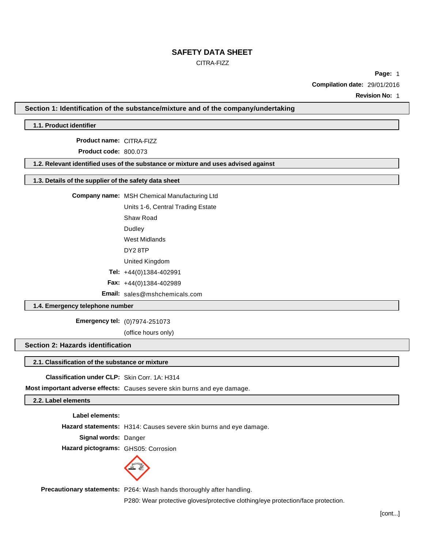## CITRA-FIZZ

**Page:** 1 **Compilation date:** 29/01/2016

**Revision No:** 1

#### **Section 1: Identification of the substance/mixture and of the company/undertaking**

### **1.1. Product identifier**

**Product name:** CITRA-FIZZ

**Product code:** 800.073

**1.2. Relevant identified uses of the substance or mixture and uses advised against**

#### **1.3. Details of the supplier of the safety data sheet**

## **Company name:** MSH Chemical Manufacturing Ltd

Units 1-6, Central Trading Estate

Shaw Road

- Dudley
- West Midlands
- DY2 8TP
- United Kingdom
- **Tel:** +44(0)1384-402991
- **Fax:** +44(0)1384-402989

**Email:** sales@mshchemicals.com

#### **1.4. Emergency telephone number**

**Emergency tel:** (0)7974-251073

(office hours only)

### **Section 2: Hazards identification**

## **2.1. Classification of the substance or mixture**

**Classification under CLP:** Skin Corr. 1A: H314

**Most important adverse effects:** Causes severe skin burns and eye damage.

## **2.2. Label elements**

**Label elements: Hazard statements:** H314: Causes severe skin burns and eye damage. **Signal words:** Danger **Hazard pictograms:** GHS05: Corrosion



**Precautionary statements:** P264: Wash hands thoroughly after handling.

P280: Wear protective gloves/protective clothing/eye protection/face protection.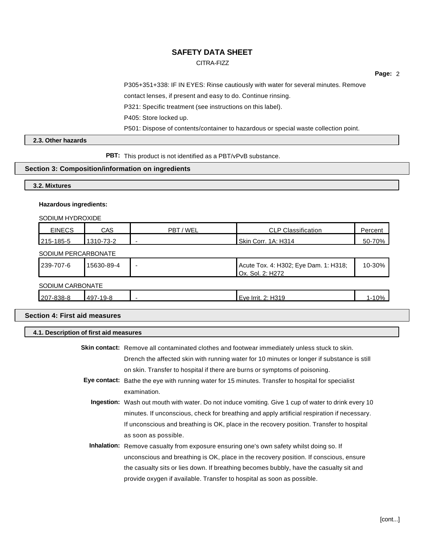## CITRA-FIZZ

**Page:** 2

P305+351+338: IF IN EYES: Rinse cautiously with water for several minutes. Remove

contact lenses, if present and easy to do. Continue rinsing.

P321: Specific treatment (see instructions on this label).

P405: Store locked up.

P501: Dispose of contents/container to hazardous or special waste collection point.

## **2.3. Other hazards**

**PBT:** This product is not identified as a PBT/vPvB substance.

## **Section 3: Composition/information on ingredients**

## **3.2. Mixtures**

#### **Hazardous ingredients:**

SODIUM HYDROXIDE

| <b>EINECS</b>       | <b>CAS</b> | PBT / WEL | <b>CLP Classification</b>                                 | Percent   |
|---------------------|------------|-----------|-----------------------------------------------------------|-----------|
| 215-185-5           | 1310-73-2  |           | Skin Corr. 1A: H314                                       | 50-70%    |
| SODIUM PERCARBONATE |            |           |                                                           |           |
| 239-707-6           | 15630-89-4 |           | Acute Tox. 4: H302; Eye Dam. 1: H318;<br>Ox. Sol. 2: H272 | 10-30%    |
| SODIUM CARBONATE    |            |           |                                                           |           |
| 207-838-8           | 497-19-8   |           | Eye Irrit. 2: H319                                        | $1 - 10%$ |

## **Section 4: First aid measures**

## **4.1. Description of first aid measures**

| Skin contact: Remove all contaminated clothes and footwear immediately unless stuck to skin.               |
|------------------------------------------------------------------------------------------------------------|
| Drench the affected skin with running water for 10 minutes or longer if substance is still                 |
| on skin. Transfer to hospital if there are burns or symptoms of poisoning.                                 |
| Eye contact: Bathe the eye with running water for 15 minutes. Transfer to hospital for specialist          |
| examination.                                                                                               |
| <b>Ingestion:</b> Wash out mouth with water. Do not induce vomiting. Give 1 cup of water to drink every 10 |
| minutes. If unconscious, check for breathing and apply artificial respiration if necessary.                |
| If unconscious and breathing is OK, place in the recovery position. Transfer to hospital                   |
| as soon as possible.                                                                                       |
| <b>Inhalation:</b> Remove casualty from exposure ensuring one's own safety whilst doing so. If             |
| unconscious and breathing is OK, place in the recovery position. If conscious, ensure                      |
| the casualty sits or lies down. If breathing becomes bubbly, have the casualty sit and                     |
| provide oxygen if available. Transfer to hospital as soon as possible.                                     |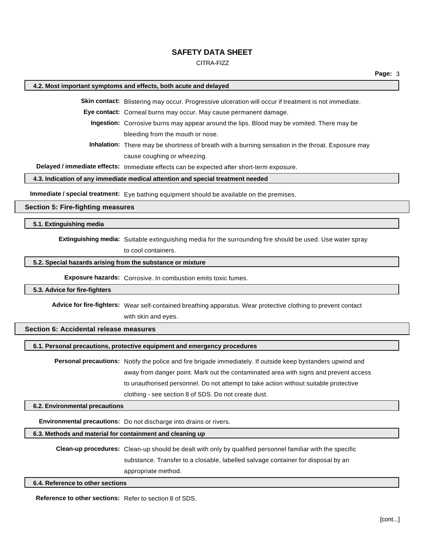#### CITRA-FIZZ

#### **4.2. Most important symptoms and effects, both acute and delayed**

**Skin contact:** Blistering may occur. Progressive ulceration will occur if treatment is not immediate.

**Eye contact:** Corneal burns may occur. May cause permanent damage.

**Ingestion:** Corrosive burns may appear around the lips. Blood may be vomited. There may be bleeding from the mouth or nose.

**Inhalation:** There may be shortness of breath with a burning sensation in the throat. Exposure may cause coughing or wheezing.

**Delayed / immediate effects:** Immediate effects can be expected after short-term exposure.

**4.3. Indication of any immediate medical attention and special treatment needed**

**Immediate / special treatment:** Eye bathing equipment should be available on the premises.

## **Section 5: Fire-fighting measures**

### **5.1. Extinguishing media**

**Extinguishing media:** Suitable extinguishing media for the surrounding fire should be used. Use water spray

to cool containers.

## **5.2. Special hazards arising from the substance or mixture**

**Exposure hazards:** Corrosive. In combustion emits toxic fumes.

## **5.3. Advice for fire-fighters**

**Advice for fire-fighters:** Wear self-contained breathing apparatus. Wear protective clothing to prevent contact with skin and eyes.

### **Section 6: Accidental release measures**

## **6.1. Personal precautions, protective equipment and emergency procedures**

**Personal precautions:** Notify the police and fire brigade immediately. If outside keep bystanders upwind and away from danger point. Mark out the contaminated area with signs and prevent access to unauthorised personnel. Do not attempt to take action without suitable protective clothing - see section 8 of SDS. Do not create dust.

#### **6.2. Environmental precautions**

**Environmental precautions:** Do not discharge into drains or rivers.

## **6.3. Methods and material for containment and cleaning up**

**Clean-up procedures:** Clean-up should be dealt with only by qualified personnel familiar with the specific substance. Transfer to a closable, labelled salvage container for disposal by an appropriate method.

### **6.4. Reference to other sections**

**Reference to other sections:** Refer to section 8 of SDS.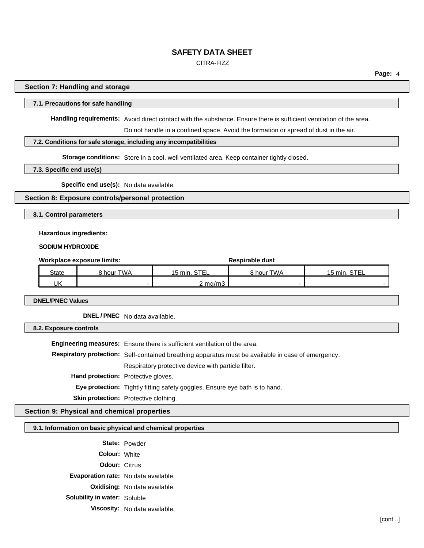## CITRA-FIZZ

**Page:** 4

#### **Section 7: Handling and storage**

#### **7.1. Precautions for safe handling**

**Handling requirements:** Avoid direct contact with the substance. Ensure there is sufficient ventilation of the area.

Do not handle in a confined space. Avoid the formation or spread of dust in the air.

### **7.2. Conditions for safe storage, including any incompatibilities**

**Storage conditions:** Store in a cool, well ventilated area. Keep container tightly closed.

**7.3. Specific end use(s)**

**Specific end use(s):** No data available.

## **Section 8: Exposure controls/personal protection**

**8.1. Control parameters**

#### **Hazardous ingredients:**

**SODIUM HYDROXIDE**

| Workplace exposure limits: |            |                    | Respirable dust |              |  |
|----------------------------|------------|--------------------|-----------------|--------------|--|
| <b>State</b>               | 8 hour TWA | 15 min. STEL       | 8 hour TWA      | 15 min. STEL |  |
| UK                         |            | $2 \text{ ma/m}$ 3 |                 |              |  |

**DNEL/PNEC Values**

**DNEL / PNEC** No data available.

**8.2. Exposure controls**

**Engineering measures:** Ensure there is sufficient ventilation of the area. **Respiratory protection:** Self-contained breathing apparatus must be available in case of emergency. Respiratory protective device with particle filter. **Hand protection:** Protective gloves. **Eye protection:** Tightly fitting safety goggles. Ensure eye bath is to hand. **Skin protection:** Protective clothing.

## **Section 9: Physical and chemical properties**

## **9.1. Information on basic physical and chemical properties**

**State:** Powder **Colour:** White **Odour:** Citrus **Evaporation rate:** No data available. **Oxidising:** No data available. **Solubility in water:** Soluble **Viscosity:** No data available.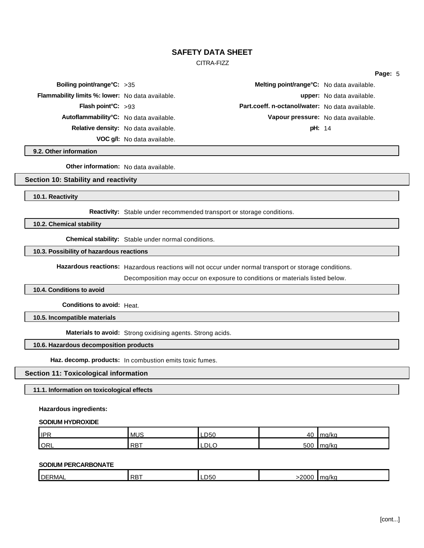#### CITRA-FIZZ

| Boiling point/range $C: >35$                     |                                      | Melting point/range°C: No data available.       |                                  |
|--------------------------------------------------|--------------------------------------|-------------------------------------------------|----------------------------------|
| Flammability limits %: lower: No data available. |                                      |                                                 | <b>upper:</b> No data available. |
| Flash point $C: >93$                             |                                      | Part.coeff. n-octanol/water: No data available. |                                  |
| Autoflammability°C: No data available.           |                                      | Vapour pressure: No data available.             |                                  |
|                                                  | Relative density: No data available. | <b>pH: 14</b>                                   |                                  |
|                                                  | VOC g/l: No data available.          |                                                 |                                  |

**9.2. Other information**

**Other information:** No data available.

## **Section 10: Stability and reactivity**

**10.1. Reactivity**

**Reactivity:** Stable under recommended transport or storage conditions.

**10.2. Chemical stability**

**Chemical stability:** Stable under normal conditions.

## **10.3. Possibility of hazardous reactions**

**Hazardous reactions:** Hazardous reactions will not occur under normal transport or storage conditions.

Decomposition may occur on exposure to conditions or materials listed below.

**10.4. Conditions to avoid**

**Conditions to avoid:** Heat.

**10.5. Incompatible materials**

**Materials to avoid:** Strong oxidising agents. Strong acids.

#### **10.6. Hazardous decomposition products**

**Haz. decomp. products:** In combustion emits toxic fumes.

### **Section 11: Toxicological information**

**11.1. Information on toxicological effects**

**Hazardous ingredients:**

#### **SODIUM HYDROXIDE**

| <b>IPR</b> | <b>MUS</b>            | LD50 | 40  | max(1/2)<br>۱۳۰ ال<br>. |
|------------|-----------------------|------|-----|-------------------------|
| ORL        | $\blacksquare$<br>RD. | LDLC | 500 | ma/ka                   |

## **SODIUM PERCARBONATE**

| <b>DERMAL</b> | $I$ <sub>RB</sub> $\tau$ | D50 | 2000 | l ma/ka |
|---------------|--------------------------|-----|------|---------|
|               |                          |     |      |         |

**Page:** 5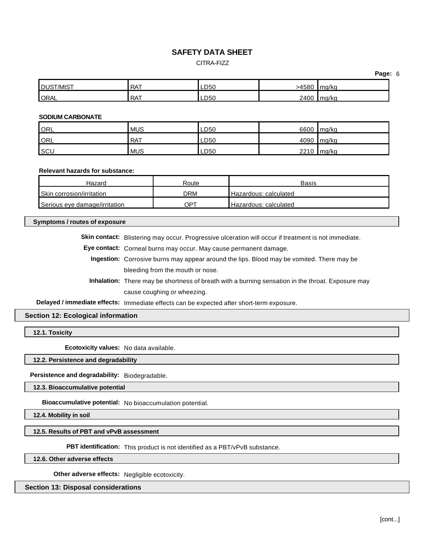## CITRA-FIZZ

| <b>DUST/MIST</b> | <b>RAT</b> | LD50 | >4580 | ma/ka |
|------------------|------------|------|-------|-------|
| <b>ORAL</b>      | <b>RAT</b> | LD50 | 2400  | ma/ka |

### **SODIUM CARBONATE**

| ORL | <b>MUS</b> | LD50 | 6600 | l ma/ka    |
|-----|------------|------|------|------------|
| ORL | <b>RAT</b> | LD50 |      | 4090 mg/kg |
| SCL | <b>MUS</b> | LD50 | 2210 | ma/ka      |

## **Relevant hazards for substance:**

| Hazard                        | Route | <b>Basis</b>          |
|-------------------------------|-------|-----------------------|
| Skin corrosion/irritation     | DRM   | Hazardous: calculated |
| Serious eve damage/irritation | OP1   | Hazardous: calculated |

### **Symptoms / routes of exposure**

**Skin contact:** Blistering may occur. Progressive ulceration will occur if treatment is not immediate.

**Eye contact:** Corneal burns may occur. May cause permanent damage.

**Ingestion:** Corrosive burns may appear around the lips. Blood may be vomited. There may be bleeding from the mouth or nose.

**Inhalation:** There may be shortness of breath with a burning sensation in the throat. Exposure may cause coughing or wheezing.

**Delayed / immediate effects:** Immediate effects can be expected after short-term exposure.

## **Section 12: Ecological information**

**12.1. Toxicity**

**Ecotoxicity values:** No data available.

## **12.2. Persistence and degradability**

**Persistence and degradability:** Biodegradable.

**12.3. Bioaccumulative potential**

**Bioaccumulative potential:** No bioaccumulation potential.

**12.4. Mobility in soil**

**12.5. Results of PBT and vPvB assessment**

**PBT identification:** This product is not identified as a PBT/vPvB substance.

**12.6. Other adverse effects**

**Other adverse effects:** Negligible ecotoxicity.

## **Section 13: Disposal considerations**

**Page:** 6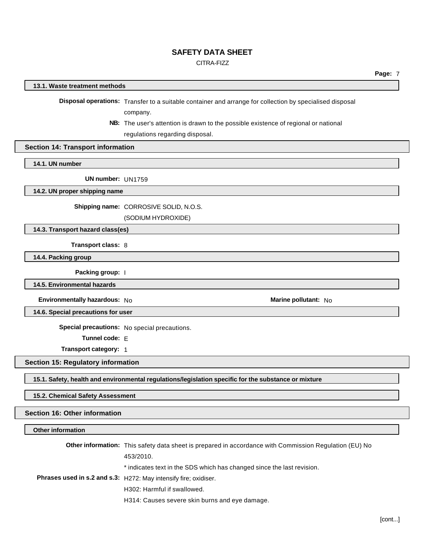## CITRA-FIZZ

**Page:** 7

#### **13.1. Waste treatment methods**

**Disposal operations:** Transfer to a suitable container and arrange for collection by specialised disposal company.

> **NB:** The user's attention is drawn to the possible existence of regional or national regulations regarding disposal.

## **Section 14: Transport information**

**14.1. UN number**

**UN number:** UN1759

**14.2. UN proper shipping name**

**Shipping name:** CORROSIVE SOLID, N.O.S.

(SODIUM HYDROXIDE)

**14.3. Transport hazard class(es)**

**Transport class:** 8

**14.4. Packing group**

**Packing group:** I

**14.5. Environmental hazards**

**Environmentally hazardous:** No **Marine pollutant:** No

**14.6. Special precautions for user**

**Special precautions:** No special precautions.

**Tunnel code:** E

**Transport category:** 1

**Section 15: Regulatory information**

**15.1. Safety, health and environmental regulations/legislation specific for the substance or mixture**

**15.2. Chemical Safety Assessment**

**Section 16: Other information**

## **Other information**

**Other information:** This safety data sheet is prepared in accordance with Commission Regulation (EU) No 453/2010. \* indicates text in the SDS which has changed since the last revision. **Phrases used in s.2 and s.3:** H272: May intensify fire; oxidiser. H302: Harmful if swallowed.

H314: Causes severe skin burns and eye damage.